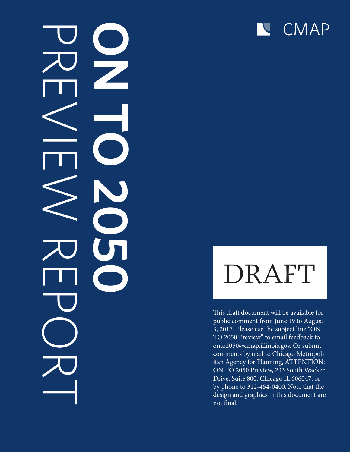# PREVIEW REPORT **ON DOD**



# DRAFT

This draft document will be available for public comment from June 19 to August 3, 2017. Please use the subject line "ON TO 2050 Preview" to email feedback to onto2050@cmap.illinois.gov. Or submit comments by mail to Chicago Metropolitan Agency for Planning, ATTENTION: ON TO 2050 Preview, 233 South Wacker Drive, Suite 800, Chicago IL 606047, or by phone to 312-454-0400. Note that the design and graphics in this document are not final.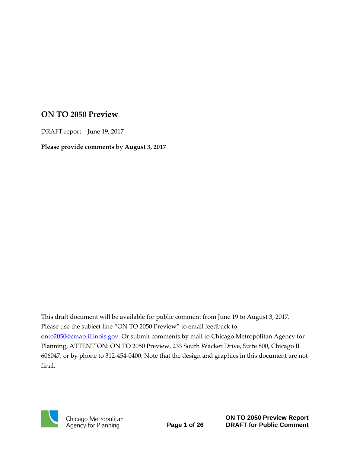### **ON TO 2050 Preview**

DRAFT report – June 19, 2017

**Please provide comments by August 3, 2017**

This draft document will be available for public comment from June 19 to August 3, 2017. Please use the subject line "ON TO 2050 Preview" to email feedback to [onto2050@cmap.illinois.gov.](mailto:onto2050@cmap.illinois.gov) Or submit comments by mail to Chicago Metropolitan Agency for Planning, ATTENTION: ON TO 2050 Preview, 233 South Wacker Drive, Suite 800, Chicago IL 606047, or by phone to 312-454-0400. Note that the design and graphics in this document are not final.

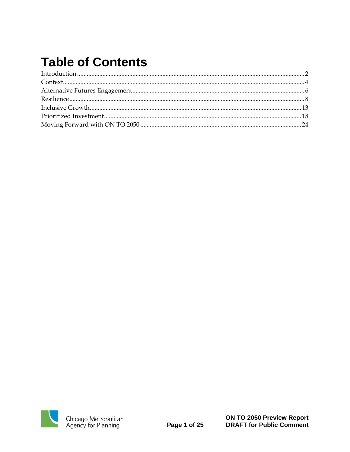# **Table of Contents**

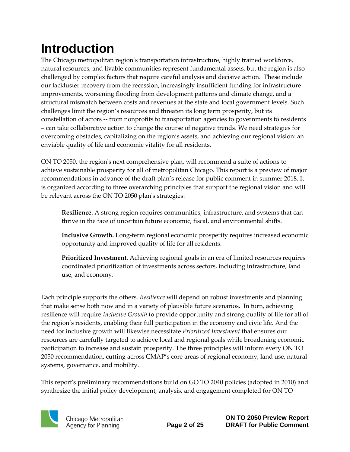# <span id="page-3-0"></span>**Introduction**

The Chicago metropolitan region's transportation infrastructure, highly trained workforce, natural resources, and livable communities represent fundamental assets, but the region is also challenged by complex factors that require careful analysis and decisive action. These include our lackluster recovery from the recession, increasingly insufficient funding for infrastructure improvements, worsening flooding from development patterns and climate change, and a structural mismatch between costs and revenues at the state and local government levels. Such challenges limit the region's resources and threaten its long term prosperity, but its constellation of actors -- from nonprofits to transportation agencies to governments to residents – can take collaborative action to change the course of negative trends. We need strategies for overcoming obstacles, capitalizing on the region's assets, and achieving our regional vision: an enviable quality of life and economic vitality for all residents.

ON TO 2050, the region's next comprehensive plan, will recommend a suite of actions to achieve sustainable prosperity for all of metropolitan Chicago. This report is a preview of major recommendations in advance of the draft plan's release for public comment in summer 2018. It is organized according to three overarching principles that support the regional vision and will be relevant across the ON TO 2050 plan's strategies:

**Resilience.** A strong region requires communities, infrastructure, and systems that can thrive in the face of uncertain future economic, fiscal, and environmental shifts.

**Inclusive Growth.** Long-term regional economic prosperity requires increased economic opportunity and improved quality of life for all residents.

**Prioritized Investment**. Achieving regional goals in an era of limited resources requires coordinated prioritization of investments across sectors, including infrastructure, land use, and economy.

Each principle supports the others. *Resilience* will depend on robust investments and planning that make sense both now and in a variety of plausible future scenarios. In turn, achieving resilience will require *Inclusive Growth* to provide opportunity and strong quality of life for all of the region's residents, enabling their full participation in the economy and civic life. And the need for inclusive growth will likewise necessitate *Prioritized Investment* that ensures our resources are carefully targeted to achieve local and regional goals while broadening economic participation to increase and sustain prosperity. The three principles will inform every ON TO 2050 recommendation, cutting across CMAP's core areas of regional economy, land use, natural systems, governance, and mobility.

This report's preliminary recommendations build on GO TO 2040 policies (adopted in 2010) and synthesize the initial policy development, analysis, and engagement completed for ON TO

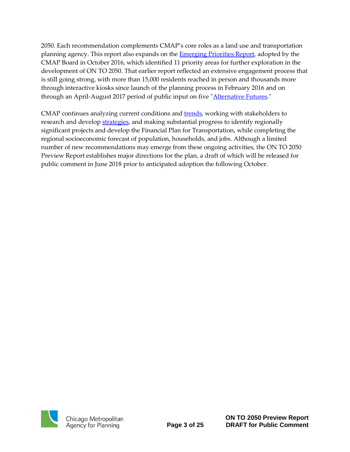2050. Each recommendation complements CMAP's core roles as a land use and transportation planning agency. This report also expands on the **Emerging Priorities Report**, adopted by the CMAP Board in October 2016, which identified 11 priority areas for further exploration in the development of ON TO 2050. That earlier report reflected an extensive engagement process that is still going strong, with more than 15,000 residents reached in person and thousands more through interactive kiosks since launch of the planning process in February 2016 and on through an April-August 2017 period of public input on five "**Alternative Futures.**"

CMAP continues analyzing current conditions and [trends,](http://www.cmap.illinois.gov/onto2050/snapshot-reports) working with stakeholders to research and develop [strategies,](http://www.cmap.illinois.gov/onto2050/strategy-papers) and making substantial progress to identify regionally significant projects and develop the Financial Plan for Transportation, while completing the regional socioeconomic forecast of population, households, and jobs. Although a limited number of new recommendations may emerge from these ongoing activities, the ON TO 2050 Preview Report establishes major directions for the plan, a draft of which will be released for public comment in June 2018 prior to anticipated adoption the following October.

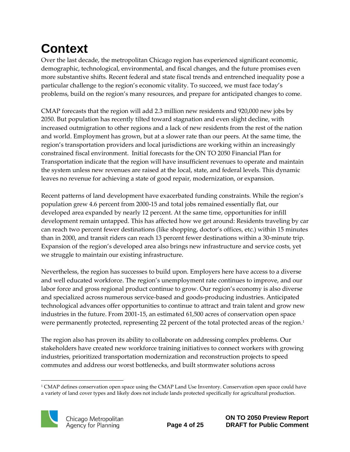# <span id="page-5-0"></span>**Context**

Over the last decade, the metropolitan Chicago region has experienced significant economic, demographic, technological, environmental, and fiscal changes, and the future promises even more substantive shifts. Recent federal and state fiscal trends and entrenched inequality pose a particular challenge to the region's economic vitality. To succeed, we must face today's problems, build on the region's many resources, and prepare for anticipated changes to come.

CMAP forecasts that the region will add 2.3 million new residents and 920,000 new jobs by 2050. But population has recently tilted toward stagnation and even slight decline, with increased outmigration to other regions and a lack of new residents from the rest of the nation and world. Employment has grown, but at a slower rate than our peers. At the same time, the region's transportation providers and local jurisdictions are working within an increasingly constrained fiscal environment. Initial forecasts for the ON TO 2050 Financial Plan for Transportation indicate that the region will have insufficient revenues to operate and maintain the system unless new revenues are raised at the local, state, and federal levels. This dynamic leaves no revenue for achieving a state of good repair, modernization, or expansion.

Recent patterns of land development have exacerbated funding constraints. While the region's population grew 4.6 percent from 2000-15 and total jobs remained essentially flat, our developed area expanded by nearly 12 percent. At the same time, opportunities for infill development remain untapped. This has affected how we get around: Residents traveling by car can reach two percent fewer destinations (like shopping, doctor's offices, etc.) within 15 minutes than in 2000, and transit riders can reach 13 percent fewer destinations within a 30-minute trip. Expansion of the region's developed area also brings new infrastructure and service costs, yet we struggle to maintain our existing infrastructure.

Nevertheless, the region has successes to build upon. Employers here have access to a diverse and well educated workforce. The region's unemployment rate continues to improve, and our labor force and gross regional product continue to grow. Our region's economy is also diverse and specialized across numerous service-based and goods-producing industries. Anticipated technological advances offer opportunities to continue to attract and train talent and grow new industries in the future. From 2001-15, an estimated 61,500 acres of conservation open space were permanently protected, representing 22 percent of the total protected areas of the region. 1

The region also has proven its ability to collaborate on addressing complex problems. Our stakeholders have created new workforce training initiatives to connect workers with growing industries, prioritized transportation modernization and reconstruction projects to speed commutes and address our worst bottlenecks, and built stormwater solutions across

 $\overline{a}$ <sup>1</sup> CMAP defines conservation open space using the CMAP Land Use Inventory. Conservation open space could have a variety of land cover types and likely does not include lands protected specifically for agricultural production.

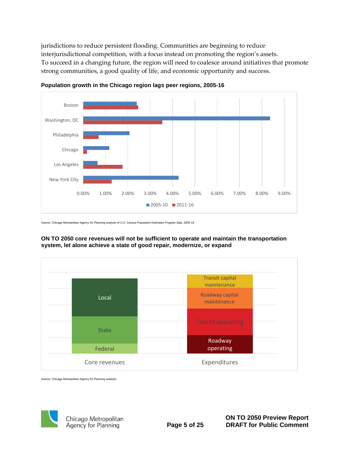jurisdictions to reduce persistent flooding. Communities are beginning to reduce interjurisdictional competition, with a focus instead on promoting the region's assets. To succeed in a changing future, the region will need to coalesce around initiatives that promote strong communities, a good quality of life, and economic opportunity and success.



**Population growth in the Chicago region lags peer regions, 2005-16**

Source: Chicago Metropolitan Agency for Planning analysis of U.S. Census Population Estimates Program data, 2005-16



### **ON TO 2050 core revenues will not be sufficient to operate and maintain the transportation system, let alone achieve a state of good repair, modernize, or expand**

Source: Chicago Metropolitan Agency for Planning analysis

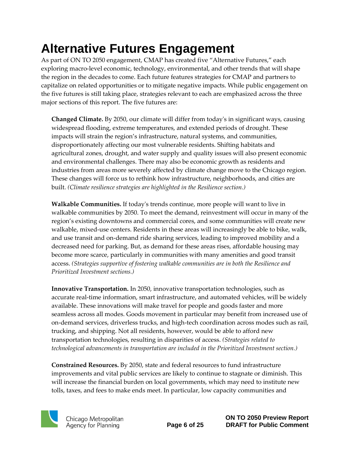# <span id="page-7-0"></span>**Alternative Futures Engagement**

As part of ON TO 2050 engagement, CMAP has created five "Alternative Futures," each exploring macro-level economic, technology, environmental, and other trends that will shape the region in the decades to come. Each future features strategies for CMAP and partners to capitalize on related opportunities or to mitigate negative impacts. While public engagement on the five futures is still taking place, strategies relevant to each are emphasized across the three major sections of this report. The five futures are:

**Changed Climate.** By 2050, our climate will differ from today's in significant ways, causing widespread flooding, extreme temperatures, and extended periods of drought. These impacts will strain the region's infrastructure, natural systems, and communities, disproportionately affecting our most vulnerable residents. Shifting habitats and agricultural zones, drought, and water supply and quality issues will also present economic and environmental challenges. There may also be economic growth as residents and industries from areas more severely affected by climate change move to the Chicago region. These changes will force us to rethink how infrastructure, neighborhoods, and cities are built. *(Climate resilience strategies are highlighted in the Resilience section.)*

**Walkable Communities.** If today's trends continue, more people will want to live in walkable communities by 2050. To meet the demand, reinvestment will occur in many of the region's existing downtowns and commercial cores, and some communities will create new walkable, mixed-use centers. Residents in these areas will increasingly be able to bike, walk, and use transit and on-demand ride sharing services, leading to improved mobility and a decreased need for parking. But, as demand for these areas rises, affordable housing may become more scarce, particularly in communities with many amenities and good transit access. *(Strategies supportive of fostering walkable communities are in both the Resilience and Prioritized Investment sections.)*

**Innovative Transportation.** In 2050, innovative transportation technologies, such as accurate real-time information, smart infrastructure, and automated vehicles, will be widely available. These innovations will make travel for people and goods faster and more seamless across all modes. Goods movement in particular may benefit from increased use of on-demand services, driverless trucks, and high-tech coordination across modes such as rail, trucking, and shipping. Not all residents, however, would be able to afford new transportation technologies, resulting in disparities of access. *(Strategies related to technological advancements in transportation are included in the Prioritized Investment section.)*

**Constrained Resources.** By 2050, state and federal resources to fund infrastructure improvements and vital public services are likely to continue to stagnate or diminish. This will increase the financial burden on local governments, which may need to institute new tolls, taxes, and fees to make ends meet. In particular, low capacity communities and

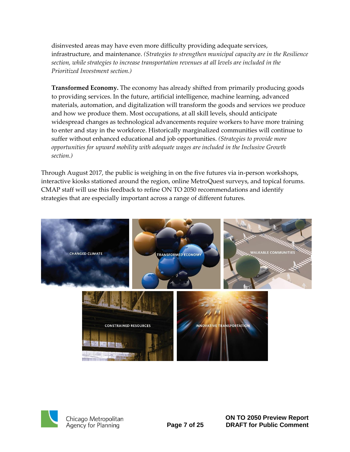disinvested areas may have even more difficulty providing adequate services, infrastructure, and maintenance. *(Strategies to strengthen municipal capacity are in the Resilience section, while strategies to increase transportation revenues at all levels are included in the Prioritized Investment section.)*

**Transformed Economy.** The economy has already shifted from primarily producing goods to providing services. In the future, artificial intelligence, machine learning, advanced materials, automation, and digitalization will transform the goods and services we produce and how we produce them. Most occupations, at all skill levels, should anticipate widespread changes as technological advancements require workers to have more training to enter and stay in the workforce. Historically marginalized communities will continue to suffer without enhanced educational and job opportunities. *(Strategies to provide more opportunities for upward mobility with adequate wages are included in the Inclusive Growth section.)*

Through August 2017, the public is weighing in on the five futures via in-person workshops, interactive kiosks stationed around the region, online MetroQuest surveys, and topical forums. CMAP staff will use this feedback to refine ON TO 2050 recommendations and identify strategies that are especially important across a range of different futures.





Chicago Metropolitan Agency for Planning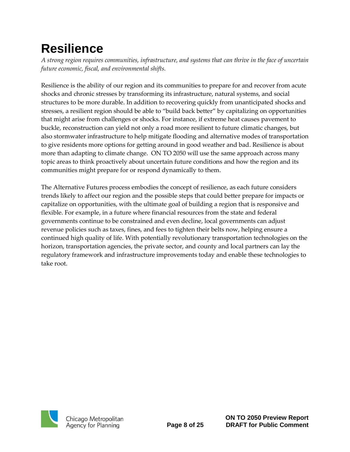# <span id="page-9-0"></span>**Resilience**

*A strong region requires communities, infrastructure, and systems that can thrive in the face of uncertain future economic, fiscal, and environmental shifts.*

Resilience is the ability of our region and its communities to prepare for and recover from acute shocks and chronic stresses by transforming its infrastructure, natural systems, and social structures to be more durable. In addition to recovering quickly from unanticipated shocks and stresses, a resilient region should be able to "build back better" by capitalizing on opportunities that might arise from challenges or shocks. For instance, if extreme heat causes pavement to buckle, reconstruction can yield not only a road more resilient to future climatic changes, but also stormwater infrastructure to help mitigate flooding and alternative modes of transportation to give residents more options for getting around in good weather and bad. Resilience is about more than adapting to climate change. ON TO 2050 will use the same approach across many topic areas to think proactively about uncertain future conditions and how the region and its communities might prepare for or respond dynamically to them.

The Alternative Futures process embodies the concept of resilience, as each future considers trends likely to affect our region and the possible steps that could better prepare for impacts or capitalize on opportunities, with the ultimate goal of building a region that is responsive and flexible. For example, in a future where financial resources from the state and federal governments continue to be constrained and even decline, local governments can adjust revenue policies such as taxes, fines, and fees to tighten their belts now, helping ensure a continued high quality of life. With potentially revolutionary transportation technologies on the horizon, transportation agencies, the private sector, and county and local partners can lay the regulatory framework and infrastructure improvements today and enable these technologies to take root.

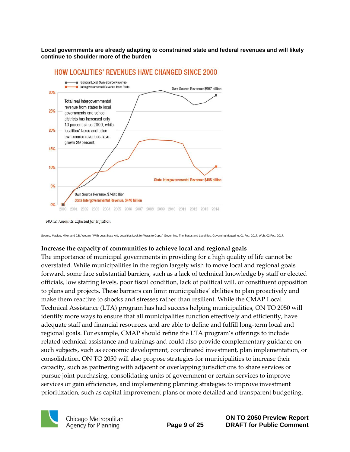**Local governments are already adapting to constrained state and federal revenues and will likely continue to shoulder more of the burden**



### **HOW LOCALITIES' REVENUES HAVE CHANGED SINCE 2000**

NOTE: Amounts adjusted for inflation

Source: Maciag, Mike, and J.B. Wogan. "With Less State Aid, Localities Look for Ways to Cope." Governing: The States and Localities. Governing Magazine, 01 Feb. 2017. Web. 02 Feb. 2017.

### **Increase the capacity of communities to achieve local and regional goals**

The importance of municipal governments in providing for a high quality of life cannot be overstated. While municipalities in the region largely wish to move local and regional goals forward, some face substantial barriers, such as a lack of technical knowledge by staff or elected officials, low staffing levels, poor fiscal condition, lack of political will, or constituent opposition to plans and projects. These barriers can limit municipalities' abilities to plan proactively and make them reactive to shocks and stresses rather than resilient. While the CMAP Local Technical Assistance (LTA) program has had success helping municipalities, ON TO 2050 will identify more ways to ensure that all municipalities function effectively and efficiently, have adequate staff and financial resources, and are able to define and fulfill long-term local and regional goals. For example, CMAP should refine the LTA program's offerings to include related technical assistance and trainings and could also provide complementary guidance on such subjects, such as economic development, coordinated investment, plan implementation, or consolidation. ON TO 2050 will also propose strategies for municipalities to increase their capacity, such as partnering with adjacent or overlapping jurisdictions to share services or pursue joint purchasing, consolidating units of government or certain services to improve services or gain efficiencies, and implementing planning strategies to improve investment prioritization, such as capital improvement plans or more detailed and transparent budgeting.

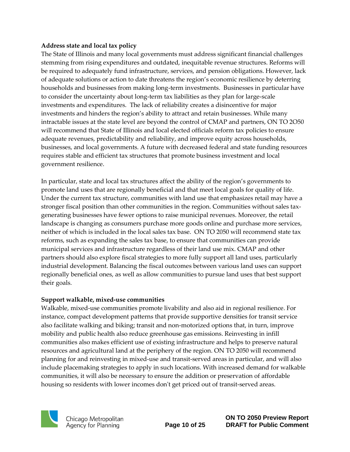### **Address state and local tax policy**

The State of Illinois and many local governments must address significant financial challenges stemming from rising expenditures and outdated, inequitable revenue structures. Reforms will be required to adequately fund infrastructure, services, and pension obligations. However, lack of adequate solutions or action to date threatens the region's economic resilience by deterring households and businesses from making long-term investments. Businesses in particular have to consider the uncertainty about long-term tax liabilities as they plan for large-scale investments and expenditures. The lack of reliability creates a disincentive for major investments and hinders the region's ability to attract and retain businesses. While many intractable issues at the state level are beyond the control of CMAP and partners, ON TO 2O50 will recommend that State of Illinois and local elected officials reform tax policies to ensure adequate revenues, predictability and reliability, and improve equity across households, businesses, and local governments. A future with decreased federal and state funding resources requires stable and efficient tax structures that promote business investment and local government resilience.

In particular, state and local tax structures affect the ability of the region's governments to promote land uses that are regionally beneficial and that meet local goals for quality of life. Under the current tax structure, communities with land use that emphasizes retail may have a stronger fiscal position than other communities in the region. Communities without sales taxgenerating businesses have fewer options to raise municipal revenues. Moreover, the retail landscape is changing as consumers purchase more goods online and purchase more services, neither of which is included in the local sales tax base. ON TO 2050 will recommend state tax reforms, such as expanding the sales tax base, to ensure that communities can provide municipal services and infrastructure regardless of their land use mix. CMAP and other partners should also explore fiscal strategies to more fully support all land uses, particularly industrial development. Balancing the fiscal outcomes between various land uses can support regionally beneficial ones, as well as allow communities to pursue land uses that best support their goals.

### **Support walkable, mixed-use communities**

Walkable, mixed-use communities promote livability and also aid in regional resilience. For instance, compact development patterns that provide supportive densities for transit service also facilitate walking and biking; transit and non-motorized options that, in turn, improve mobility and public health also reduce greenhouse gas emissions. Reinvesting in infill communities also makes efficient use of existing infrastructure and helps to preserve natural resources and agricultural land at the periphery of the region. ON TO 2050 will recommend planning for and reinvesting in mixed-use and transit-served areas in particular, and will also include placemaking strategies to apply in such locations. With increased demand for walkable communities, it will also be necessary to ensure the addition or preservation of affordable housing so residents with lower incomes don't get priced out of transit-served areas.

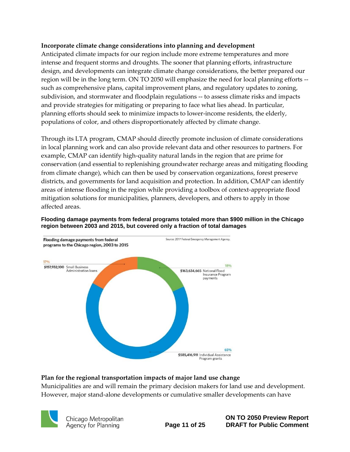### **Incorporate climate change considerations into planning and development**

Anticipated climate impacts for our region include more extreme temperatures and more intense and frequent storms and droughts. The sooner that planning efforts, infrastructure design, and developments can integrate climate change considerations, the better prepared our region will be in the long term. ON TO 2050 will emphasize the need for local planning efforts - such as comprehensive plans, capital improvement plans, and regulatory updates to zoning, subdivision, and stormwater and floodplain regulations -- to assess climate risks and impacts and provide strategies for mitigating or preparing to face what lies ahead. In particular, planning efforts should seek to minimize impacts to lower-income residents, the elderly, populations of color, and others disproportionately affected by climate change.

Through its LTA program, CMAP should directly promote inclusion of climate considerations in local planning work and can also provide relevant data and other resources to partners. For example, CMAP can identify high-quality natural lands in the region that are prime for conservation (and essential to replenishing groundwater recharge areas and mitigating flooding from climate change), which can then be used by conservation organizations, forest preserve districts, and governments for land acquisition and protection. In addition, CMAP can identify areas of intense flooding in the region while providing a toolbox of context-appropriate flood mitigation solutions for municipalities, planners, developers, and others to apply in those affected areas.

### **Flooding damage payments from federal programs totaled more than \$900 million in the Chicago region between 2003 and 2015, but covered only a fraction of total damages**



### **Plan for the regional transportation impacts of major land use change**

Municipalities are and will remain the primary decision makers for land use and development. However, major stand-alone developments or cumulative smaller developments can have



Chicago Metropolitan Agency for Planning

**ON TO 2050 Preview Report Page 11 of 25 DRAFT for Public Comment**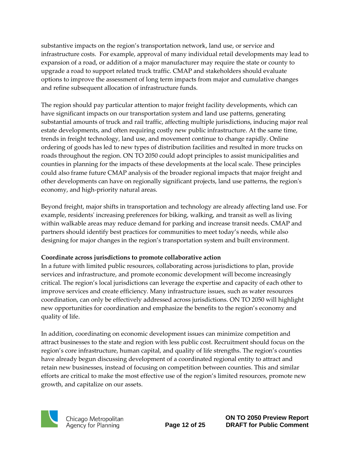substantive impacts on the region's transportation network, land use, or service and infrastructure costs. For example, approval of many individual retail developments may lead to expansion of a road, or addition of a major manufacturer may require the state or county to upgrade a road to support related truck traffic. CMAP and stakeholders should evaluate options to improve the assessment of long term impacts from major and cumulative changes and refine subsequent allocation of infrastructure funds.

The region should pay particular attention to major freight facility developments, which can have significant impacts on our transportation system and land use patterns, generating substantial amounts of truck and rail traffic, affecting multiple jurisdictions, inducing major real estate developments, and often requiring costly new public infrastructure. At the same time, trends in freight technology, land use, and movement continue to change rapidly. Online ordering of goods has led to new types of distribution facilities and resulted in more trucks on roads throughout the region. ON TO 2050 could adopt principles to assist municipalities and counties in planning for the impacts of these developments at the local scale. These principles could also frame future CMAP analysis of the broader regional impacts that major freight and other developments can have on regionally significant projects, land use patterns, the region's economy, and high-priority natural areas.

Beyond freight, major shifts in transportation and technology are already affecting land use. For example, residents' increasing preferences for biking, walking, and transit as well as living within walkable areas may reduce demand for parking and increase transit needs. CMAP and partners should identify best practices for communities to meet today's needs, while also designing for major changes in the region's transportation system and built environment.

### **Coordinate across jurisdictions to promote collaborative action**

In a future with limited public resources, collaborating across jurisdictions to plan, provide services and infrastructure, and promote economic development will become increasingly critical. The region's local jurisdictions can leverage the expertise and capacity of each other to improve services and create efficiency. Many infrastructure issues, such as water resources coordination, can only be effectively addressed across jurisdictions. ON TO 2050 will highlight new opportunities for coordination and emphasize the benefits to the region's economy and quality of life.

In addition, coordinating on economic development issues can minimize competition and attract businesses to the state and region with less public cost. Recruitment should focus on the region's core infrastructure, human capital, and quality of life strengths. The region's counties have already begun discussing development of a coordinated regional entity to attract and retain new businesses, instead of focusing on competition between counties. This and similar efforts are critical to make the most effective use of the region's limited resources, promote new growth, and capitalize on our assets.

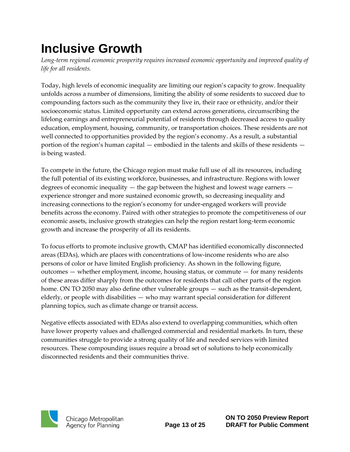## <span id="page-14-0"></span>**Inclusive Growth**

*Long-term regional economic prosperity requires increased economic opportunity and improved quality of life for all residents.*

Today, high levels of economic inequality are limiting our region's capacity to grow. Inequality unfolds across a number of dimensions, limiting the ability of some residents to succeed due to compounding factors such as the community they live in, their race or ethnicity, and/or their socioeconomic status. Limited opportunity can extend across generations, circumscribing the lifelong earnings and entrepreneurial potential of residents through decreased access to quality education, employment, housing, community, or transportation choices. These residents are not well connected to opportunities provided by the region's economy. As a result, a substantial portion of the region's human capital — embodied in the talents and skills of these residents is being wasted.

To compete in the future, the Chicago region must make full use of all its resources, including the full potential of its existing workforce, businesses, and infrastructure. Regions with lower degrees of economic inequality — the gap between the highest and lowest wage earners experience stronger and more sustained economic growth, so decreasing inequality and increasing connections to the region's economy for under-engaged workers will provide benefits across the economy. Paired with other strategies to promote the competitiveness of our economic assets, inclusive growth strategies can help the region restart long-term economic growth and increase the prosperity of all its residents.

To focus efforts to promote inclusive growth, CMAP has identified economically disconnected areas (EDAs), which are places with concentrations of low-income residents who are also persons of color or have limited English proficiency. As shown in the following figure, outcomes — whether employment, income, housing status, or commute — for many residents of these areas differ sharply from the outcomes for residents that call other parts of the region home. ON TO 2050 may also define other vulnerable groups — such as the transit-dependent, elderly, or people with disabilities  $-$  who may warrant special consideration for different planning topics, such as climate change or transit access.

Negative effects associated with EDAs also extend to overlapping communities, which often have lower property values and challenged commercial and residential markets. In turn, these communities struggle to provide a strong quality of life and needed services with limited resources. These compounding issues require a broad set of solutions to help economically disconnected residents and their communities thrive.

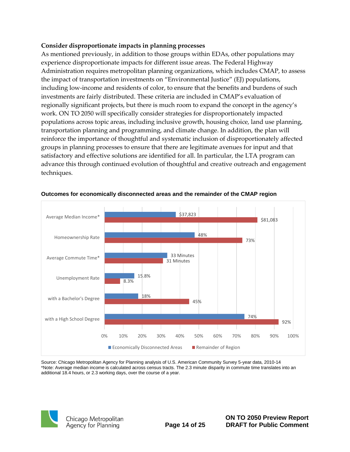### **Consider disproportionate impacts in planning processes**

As mentioned previously, in addition to those groups within EDAs, other populations may experience disproportionate impacts for different issue areas. The Federal Highway Administration requires metropolitan planning organizations, which includes CMAP, to assess the impact of transportation investments on "Environmental Justice" (EJ) populations, including low-income and residents of color, to ensure that the benefits and burdens of such investments are fairly distributed. These criteria are included in CMAP's evaluation of regionally significant projects, but there is much room to expand the concept in the agency's work. ON TO 2050 will specifically consider strategies for disproportionately impacted populations across topic areas, including inclusive growth, housing choice, land use planning, transportation planning and programming, and climate change. In addition, the plan will reinforce the importance of thoughtful and systematic inclusion of disproportionately affected groups in planning processes to ensure that there are legitimate avenues for input and that satisfactory and effective solutions are identified for all. In particular, the LTA program can advance this through continued evolution of thoughtful and creative outreach and engagement techniques.



### **Outcomes for economically disconnected areas and the remainder of the CMAP region**

Source: Chicago Metropolitan Agency for Planning analysis of U.S. American Community Survey 5-year data, 2010-14 \*Note: Average median income is calculated across census tracts. The 2.3 minute disparity in commute time translates into an additional 18.4 hours, or 2.3 working days, over the course of a year.



Chicago Metropolitan Agency for Planning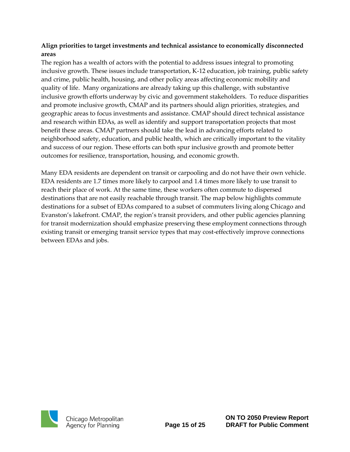### **Align priorities to target investments and technical assistance to economically disconnected areas**

The region has a wealth of actors with the potential to address issues integral to promoting inclusive growth. These issues include transportation, K-12 education, job training, public safety and crime, public health, housing, and other policy areas affecting economic mobility and quality of life. Many organizations are already taking up this challenge, with substantive inclusive growth efforts underway by civic and government stakeholders. To reduce disparities and promote inclusive growth, CMAP and its partners should align priorities, strategies, and geographic areas to focus investments and assistance. CMAP should direct technical assistance and research within EDAs, as well as identify and support transportation projects that most benefit these areas. CMAP partners should take the lead in advancing efforts related to neighborhood safety, education, and public health, which are critically important to the vitality and success of our region. These efforts can both spur inclusive growth and promote better outcomes for resilience, transportation, housing, and economic growth.

Many EDA residents are dependent on transit or carpooling and do not have their own vehicle. EDA residents are 1.7 times more likely to carpool and 1.4 times more likely to use transit to reach their place of work. At the same time, these workers often commute to dispersed destinations that are not easily reachable through transit. The map below highlights commute destinations for a subset of EDAs compared to a subset of commuters living along Chicago and Evanston's lakefront. CMAP, the region's transit providers, and other public agencies planning for transit modernization should emphasize preserving these employment connections through existing transit or emerging transit service types that may cost-effectively improve connections between EDAs and jobs.

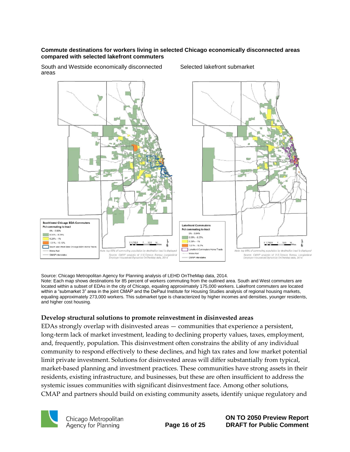### **Commute destinations for workers living in selected Chicago economically disconnected areas compared with selected lakefront commuters**

South and Westside economically disconnected areas

Selected lakefront submarket



Source: Chicago Metropolitan Agency for Planning analysis of LEHD OnTheMap data, 2014. Note: Each map shows destinations for 85 percent of workers commuting from the outlined area. South and West commuters are located within a subset of EDAs in the city of Chicago, equaling approximately 175,000 workers. Lakefront commuters are located within a "submarket 3" area in the joint CMAP and the DePaul Institute for Housing Studies analysis of regional housing markets, equaling approximately 273,000 workers. This submarket type is characterized by higher incomes and densities, younger residents, and higher cost housing.

### **Develop structural solutions to promote reinvestment in disinvested areas**

EDAs strongly overlap with disinvested areas — communities that experience a persistent, long-term lack of market investment, leading to declining property values, taxes, employment, and, frequently, population. This disinvestment often constrains the ability of any individual community to respond effectively to these declines, and high tax rates and low market potential limit private investment. Solutions for disinvested areas will differ substantially from typical, market-based planning and investment practices. These communities have strong assets in their residents, existing infrastructure, and businesses, but these are often insufficient to address the systemic issues communities with significant disinvestment face. Among other solutions, CMAP and partners should build on existing community assets, identify unique regulatory and



Chicago Metropolitan Agency for Planning

**ON TO 2050 Preview Report Page 16 of 25 DRAFT for Public Comment**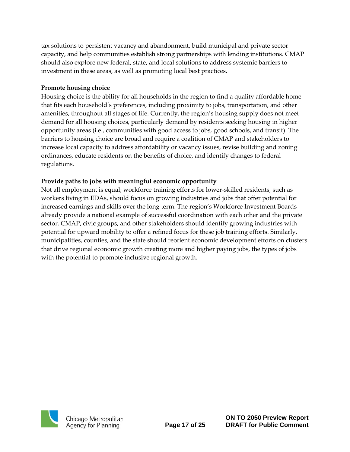tax solutions to persistent vacancy and abandonment, build municipal and private sector capacity, and help communities establish strong partnerships with lending institutions. CMAP should also explore new federal, state, and local solutions to address systemic barriers to investment in these areas, as well as promoting local best practices.

### **Promote housing choice**

Housing choice is the ability for all households in the region to find a quality affordable home that fits each household's preferences, including proximity to jobs, transportation, and other amenities, throughout all stages of life. Currently, the region's housing supply does not meet demand for all housing choices, particularly demand by residents seeking housing in higher opportunity areas (i.e., communities with good access to jobs, good schools, and transit). The barriers to housing choice are broad and require a coalition of CMAP and stakeholders to increase local capacity to address affordability or vacancy issues, revise building and zoning ordinances, educate residents on the benefits of choice, and identify changes to federal regulations.

### **Provide paths to jobs with meaningful economic opportunity**

Not all employment is equal; workforce training efforts for lower-skilled residents, such as workers living in EDAs, should focus on growing industries and jobs that offer potential for increased earnings and skills over the long term. The region's Workforce Investment Boards already provide a national example of successful coordination with each other and the private sector. CMAP, civic groups, and other stakeholders should identify growing industries with potential for upward mobility to offer a refined focus for these job training efforts. Similarly, municipalities, counties, and the state should reorient economic development efforts on clusters that drive regional economic growth creating more and higher paying jobs, the types of jobs with the potential to promote inclusive regional growth.

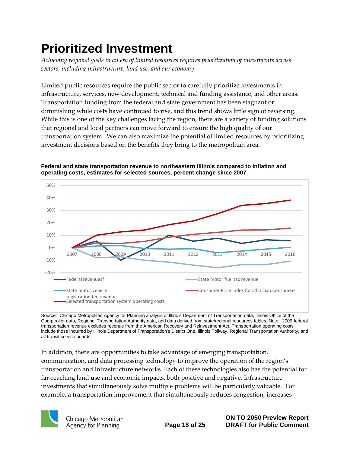# <span id="page-19-0"></span>**Prioritized Investment**

*Achieving regional goals in an era of limited resources requires prioritization of investments across sectors, including infrastructure, land use, and our economy.*

Limited public resources require the public sector to carefully prioritize investments in infrastructure, services, new development, technical and funding assistance, and other areas. Transportation funding from the federal and state government has been stagnant or diminishing while costs have continued to rise, and this trend shows little sign of reversing. While this is one of the key challenges facing the region, there are a variety of funding solutions that regional and local partners can move forward to ensure the high quality of our transportation system. We can also maximize the potential of limited resources by prioritizing investment decisions based on the benefits they bring to the metropolitan area.



**Federal and state transportation revenue to northeastern Illinois compared to inflation and operating costs, estimates for selected sources, percent change since 2007**

Source: Chicago Metropolitan Agency for Planning analysis of Illinois Department of Transportation data, Illinois Office of the Comptroller data, Regional Transportation Authority data, and data derived from state/regional resources tables. Note: 2009 federal transportation revenue excludes revenue from the American Recovery and Reinvestment Act. Transportation operating costs include those incurred by Illinois Department of Transportation's District One, Illinois Tollway, Regional Transportation Authority, and all transit service boards.

In addition, there are opportunities to take advantage of emerging transportation, communication, and data processing technology to improve the operation of the region's transportation and infrastructure networks. Each of these technologies also has the potential for far-reaching land use and economic impacts, both positive and negative. Infrastructure investments that simultaneously solve multiple problems will be particularly valuable. For example, a transportation improvement that simultaneously reduces congestion, increases

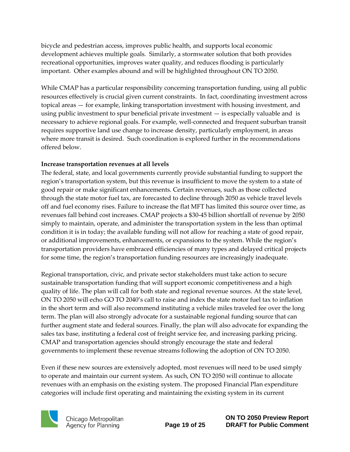bicycle and pedestrian access, improves public health, and supports local economic development achieves multiple goals. Similarly, a stormwater solution that both provides recreational opportunities, improves water quality, and reduces flooding is particularly important. Other examples abound and will be highlighted throughout ON TO 2050.

While CMAP has a particular responsibility concerning transportation funding, using all public resources effectively is crucial given current constraints. In fact, coordinating investment across topical areas — for example, linking transportation investment with housing investment, and using public investment to spur beneficial private investment — is especially valuable and is necessary to achieve regional goals. For example, well-connected and frequent suburban transit requires supportive land use change to increase density, particularly employment, in areas where more transit is desired. Such coordination is explored further in the recommendations offered below.

### **Increase transportation revenues at all levels**

The federal, state, and local governments currently provide substantial funding to support the region's transportation system, but this revenue is insufficient to move the system to a state of good repair or make significant enhancements. Certain revenues, such as those collected through the state motor fuel tax, are forecasted to decline through 2050 as vehicle travel levels off and fuel economy rises. Failure to increase the flat MFT has limited this source over time, as revenues fall behind cost increases. CMAP projects a \$30-45 billion shortfall of revenue by 2050 simply to maintain, operate, and administer the transportation system in the less than optimal condition it is in today; the available funding will not allow for reaching a state of good repair, or additional improvements, enhancements, or expansions to the system. While the region's transportation providers have embraced efficiencies of many types and delayed critical projects for some time, the region's transportation funding resources are increasingly inadequate.

Regional transportation, civic, and private sector stakeholders must take action to secure sustainable transportation funding that will support economic competitiveness and a high quality of life. The plan will call for both state and regional revenue sources. At the state level, ON TO 2050 will echo GO TO 2040's call to raise and index the state motor fuel tax to inflation in the short term and will also recommend instituting a vehicle miles traveled fee over the long term. The plan will also strongly advocate for a sustainable regional funding source that can further augment state and federal sources. Finally, the plan will also advocate for expanding the sales tax base, instituting a federal cost of freight service fee, and increasing parking pricing. CMAP and transportation agencies should strongly encourage the state and federal governments to implement these revenue streams following the adoption of ON TO 2050.

Even if these new sources are extensively adopted, most revenues will need to be used simply to operate and maintain our current system. As such, ON TO 2050 will continue to allocate revenues with an emphasis on the existing system. The proposed Financial Plan expenditure categories will include first operating and maintaining the existing system in its current



**ON TO 2050 Preview Report Page 19 of 25 DRAFT for Public Comment**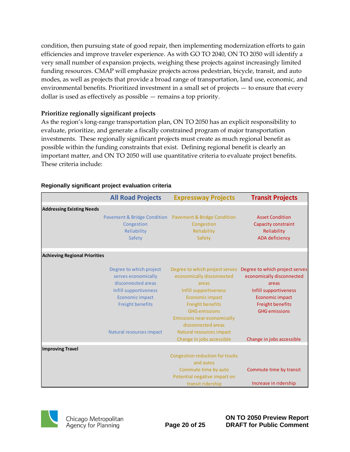condition, then pursuing state of good repair, then implementing modernization efforts to gain efficiencies and improve traveler experience. As with GO TO 2040, ON TO 2050 will identify a very small number of expansion projects, weighing these projects against increasingly limited funding resources. CMAP will emphasize projects across pedestrian, bicycle, transit, and auto modes, as well as projects that provide a broad range of transportation, land use, economic, and environmental benefits. Prioritized investment in a small set of projects — to ensure that every dollar is used as effectively as possible — remains a top priority.

### **Prioritize regionally significant projects**

As the region's long-range transportation plan, ON TO 2050 has an explicit responsibility to evaluate, prioritize, and generate a fiscally constrained program of major transportation investments. These regionally significant projects must create as much regional benefit as possible within the funding constraints that exist. Defining regional benefit is clearly an important matter, and ON TO 2050 will use quantitative criteria to evaluate project benefits. These criteria include:

|                                      | <b>All Road Projects</b>                                                                                                                                                | <b>Expressway Projects</b>                                                                                                                                                                                                                                                               | <b>Transit Projects</b>                                                                                                                                                                          |
|--------------------------------------|-------------------------------------------------------------------------------------------------------------------------------------------------------------------------|------------------------------------------------------------------------------------------------------------------------------------------------------------------------------------------------------------------------------------------------------------------------------------------|--------------------------------------------------------------------------------------------------------------------------------------------------------------------------------------------------|
| <b>Addressing Existing Needs</b>     |                                                                                                                                                                         |                                                                                                                                                                                                                                                                                          |                                                                                                                                                                                                  |
|                                      | Congestion<br>Reliability<br>Safety                                                                                                                                     | Pavement & Bridge Condition Pavement & Bridge Condition<br>Congestion<br>Reliability<br>Safety                                                                                                                                                                                           | <b>Asset Condition</b><br>Capacity constraint<br>Reliability<br>ADA deficiency                                                                                                                   |
| <b>Achieving Regional Priorities</b> |                                                                                                                                                                         |                                                                                                                                                                                                                                                                                          |                                                                                                                                                                                                  |
|                                      | Degree to which project<br>serves economically<br>disconnected areas<br>Infill supportiveness<br>Economic impact<br><b>Freight benefits</b><br>Natural resources impact | Degree to which project serves<br>economically disconnected<br>areas<br>Infill supportiveness<br>Economic impact<br><b>Freight benefits</b><br><b>GHG</b> emissions<br><b>Emissions near economically</b><br>disconnected areas<br>Natural resources impact<br>Change in jobs accessible | Degree to which project serves<br>economically disconnected<br>areas<br>Infill supportiveness<br>Economic impact<br><b>Freight benefits</b><br><b>GHG</b> emissions<br>Change in jobs accessible |
| <b>Improving Travel</b>              |                                                                                                                                                                         |                                                                                                                                                                                                                                                                                          |                                                                                                                                                                                                  |
|                                      |                                                                                                                                                                         | Congestion reduction for trucks<br>and autos<br>Commute time by auto<br>Potential negative impact on<br>transit ridership                                                                                                                                                                | Commute time by transit<br>Increase in ridership                                                                                                                                                 |

### **Regionally significant project evaluation criteria**

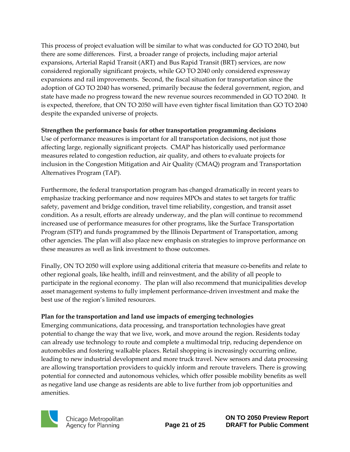This process of project evaluation will be similar to what was conducted for GO TO 2040, but there are some differences. First, a broader range of projects, including major arterial expansions, Arterial Rapid Transit (ART) and Bus Rapid Transit (BRT) services, are now considered regionally significant projects, while GO TO 2040 only considered expressway expansions and rail improvements. Second, the fiscal situation for transportation since the adoption of GO TO 2040 has worsened, primarily because the federal government, region, and state have made no progress toward the new revenue sources recommended in GO TO 2040. It is expected, therefore, that ON TO 2050 will have even tighter fiscal limitation than GO TO 2040 despite the expanded universe of projects.

### **Strengthen the performance basis for other transportation programming decisions**

Use of performance measures is important for all transportation decisions, not just those affecting large, regionally significant projects. CMAP has historically used performance measures related to congestion reduction, air quality, and others to evaluate projects for inclusion in the Congestion Mitigation and Air Quality (CMAQ) program and Transportation Alternatives Program (TAP).

Furthermore, the federal transportation program has changed dramatically in recent years to emphasize tracking performance and now requires MPOs and states to set targets for traffic safety, pavement and bridge condition, travel time reliability, congestion, and transit asset condition. As a result, efforts are already underway, and the plan will continue to recommend increased use of performance measures for other programs, like the Surface Transportation Program (STP) and funds programmed by the Illinois Department of Transportation, among other agencies. The plan will also place new emphasis on strategies to improve performance on these measures as well as link investment to those outcomes.

Finally, ON TO 2050 will explore using additional criteria that measure co-benefits and relate to other regional goals, like health, infill and reinvestment, and the ability of all people to participate in the regional economy. The plan will also recommend that municipalities develop asset management systems to fully implement performance-driven investment and make the best use of the region's limited resources.

### **Plan for the transportation and land use impacts of emerging technologies**

Emerging communications, data processing, and transportation technologies have great potential to change the way that we live, work, and move around the region. Residents today can already use technology to route and complete a multimodal trip, reducing dependence on automobiles and fostering walkable places. Retail shopping is increasingly occurring online, leading to new industrial development and more truck travel. New sensors and data processing are allowing transportation providers to quickly inform and reroute travelers. There is growing potential for connected and autonomous vehicles, which offer possible mobility benefits as well as negative land use change as residents are able to live further from job opportunities and amenities.



**ON TO 2050 Preview Report Page 21 of 25 DRAFT for Public Comment**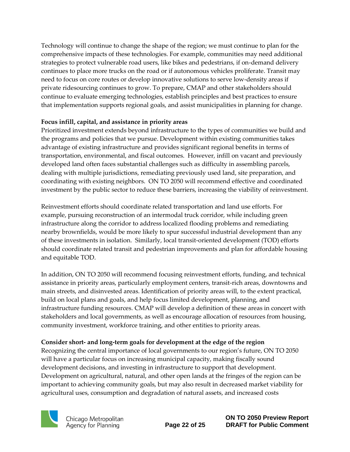Technology will continue to change the shape of the region; we must continue to plan for the comprehensive impacts of these technologies. For example, communities may need additional strategies to protect vulnerable road users, like bikes and pedestrians, if on-demand delivery continues to place more trucks on the road or if autonomous vehicles proliferate. Transit may need to focus on core routes or develop innovative solutions to serve low-density areas if private ridesourcing continues to grow. To prepare, CMAP and other stakeholders should continue to evaluate emerging technologies, establish principles and best practices to ensure that implementation supports regional goals, and assist municipalities in planning for change.

### **Focus infill, capital, and assistance in priority areas**

Prioritized investment extends beyond infrastructure to the types of communities we build and the programs and policies that we pursue. Development within existing communities takes advantage of existing infrastructure and provides significant regional benefits in terms of transportation, environmental, and fiscal outcomes. However, infill on vacant and previously developed land often faces substantial challenges such as difficulty in assembling parcels, dealing with multiple jurisdictions, remediating previously used land, site preparation, and coordinating with existing neighbors. ON TO 2050 will recommend effective and coordinated investment by the public sector to reduce these barriers, increasing the viability of reinvestment.

Reinvestment efforts should coordinate related transportation and land use efforts. For example, pursuing reconstruction of an intermodal truck corridor, while including green infrastructure along the corridor to address localized flooding problems and remediating nearby brownfields, would be more likely to spur successful industrial development than any of these investments in isolation. Similarly, local transit-oriented development (TOD) efforts should coordinate related transit and pedestrian improvements and plan for affordable housing and equitable TOD.

In addition, ON TO 2050 will recommend focusing reinvestment efforts, funding, and technical assistance in priority areas, particularly employment centers, transit-rich areas, downtowns and main streets, and disinvested areas. Identification of priority areas will, to the extent practical, build on local plans and goals, and help focus limited development, planning, and infrastructure funding resources. CMAP will develop a definition of these areas in concert with stakeholders and local governments, as well as encourage allocation of resources from housing, community investment, workforce training, and other entities to priority areas.

### **Consider short- and long-term goals for development at the edge of the region**

Recognizing the central importance of local governments to our region's future, ON TO 2050 will have a particular focus on increasing municipal capacity, making fiscally sound development decisions, and investing in infrastructure to support that development. Development on agricultural, natural, and other open lands at the fringes of the region can be important to achieving community goals, but may also result in decreased market viability for agricultural uses, consumption and degradation of natural assets, and increased costs



**ON TO 2050 Preview Report Page 22 of 25 DRAFT for Public Comment**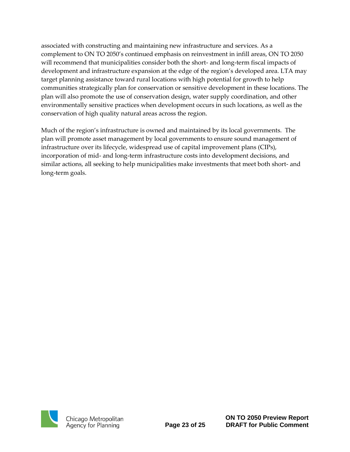associated with constructing and maintaining new infrastructure and services. As a complement to ON TO 2050's continued emphasis on reinvestment in infill areas, ON TO 2050 will recommend that municipalities consider both the short- and long-term fiscal impacts of development and infrastructure expansion at the edge of the region's developed area. LTA may target planning assistance toward rural locations with high potential for growth to help communities strategically plan for conservation or sensitive development in these locations. The plan will also promote the use of conservation design, water supply coordination, and other environmentally sensitive practices when development occurs in such locations, as well as the conservation of high quality natural areas across the region.

Much of the region's infrastructure is owned and maintained by its local governments. The plan will promote asset management by local governments to ensure sound management of infrastructure over its lifecycle, widespread use of capital improvement plans (CIPs), incorporation of mid- and long-term infrastructure costs into development decisions, and similar actions, all seeking to help municipalities make investments that meet both short- and long-term goals.

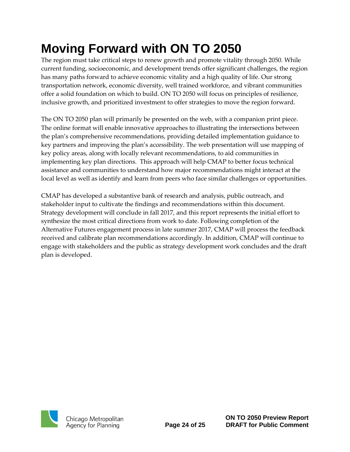# <span id="page-25-0"></span>**Moving Forward with ON TO 2050**

The region must take critical steps to renew growth and promote vitality through 2050. While current funding, socioeconomic, and development trends offer significant challenges, the region has many paths forward to achieve economic vitality and a high quality of life. Our strong transportation network, economic diversity, well trained workforce, and vibrant communities offer a solid foundation on which to build. ON TO 2050 will focus on principles of resilience, inclusive growth, and prioritized investment to offer strategies to move the region forward.

The ON TO 2050 plan will primarily be presented on the web, with a companion print piece. The online format will enable innovative approaches to illustrating the intersections between the plan's comprehensive recommendations, providing detailed implementation guidance to key partners and improving the plan's accessibility. The web presentation will use mapping of key policy areas, along with locally relevant recommendations, to aid communities in implementing key plan directions. This approach will help CMAP to better focus technical assistance and communities to understand how major recommendations might interact at the local level as well as identify and learn from peers who face similar challenges or opportunities.

CMAP has developed a substantive bank of research and analysis, public outreach, and stakeholder input to cultivate the findings and recommendations within this document. Strategy development will conclude in fall 2017, and this report represents the initial effort to synthesize the most critical directions from work to date. Following completion of the Alternative Futures engagement process in late summer 2017, CMAP will process the feedback received and calibrate plan recommendations accordingly. In addition, CMAP will continue to engage with stakeholders and the public as strategy development work concludes and the draft plan is developed.

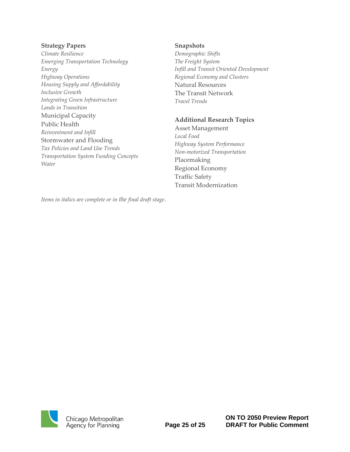### **Strategy Papers**

*Climate Resilience Emerging Transportation Technology Energy Highway Operations Housing Supply and Affordability Inclusive Growth Integrating Green Infrastructure Lands in Transition* Municipal Capacity Public Health *Reinvestment and Infill*  Stormwater and Flooding *Tax Policies and Land Use Trends Transportation System Funding Concepts Water*

### **Snapshots**

*Demographic Shifts The Freight System Infill and Transit Oriented Development Regional Economy and Clusters* Natural Resources The Transit Network *Travel Trends*

### **Additional Research Topics**

Asset Management *Local Food Highway System Performance Non-motorized Transportation* Placemaking Regional Economy Traffic Safety Transit Modernization

*Items in italics are complete or in the final draft stage.*